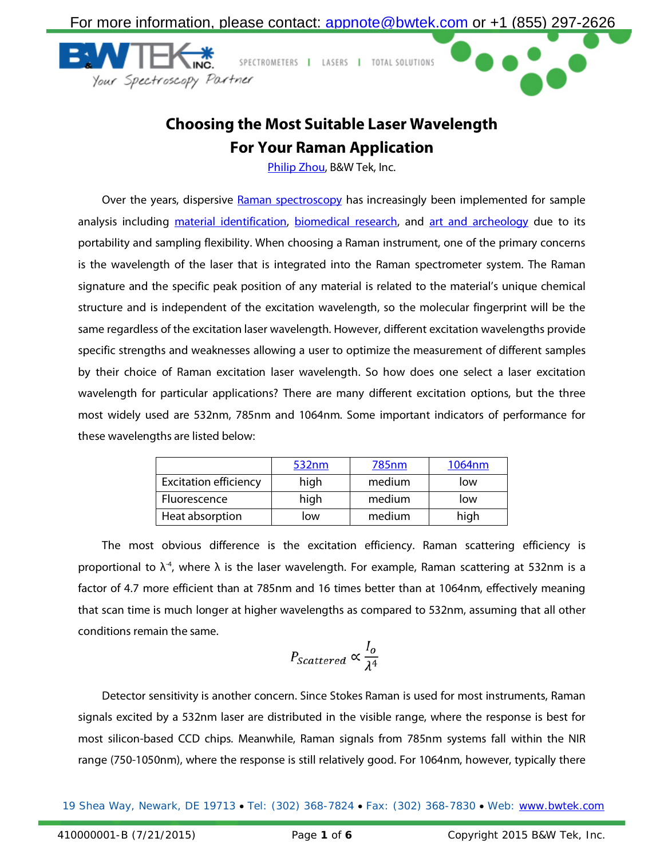

## **Choosing the Most Suitable Laser Wavelength For Your Raman Application**

[Philip Zhou,](mailto:appnote@bwtek.com) B&W Tek, Inc.

Over the years, dispersive [Raman spectroscopy](http://bwtek.com/raman-introduction-to-raman-spectroscopy/) has increasingly been implemented for sample analysis including [material identification,](http://bwtek.com/applications/rawmaterialid/) [biomedical research,](http://bwtek.com/industries/medical-biomedical-diagnostics/) and [art and archeology](http://bwtek.com/applications/conservation/) due to its portability and sampling flexibility. When choosing a Raman instrument, one of the primary concerns is the wavelength of the laser that is integrated into the Raman spectrometer system. The Raman signature and the specific peak position of any material is related to the material's unique chemical structure and is independent of the excitation wavelength, so the molecular fingerprint will be the same regardless of the excitation laser wavelength. However, different excitation wavelengths provide specific strengths and weaknesses allowing a user to optimize the measurement of different samples by their choice of Raman excitation laser wavelength. So how does one select a laser excitation wavelength for particular applications? There are many different excitation options, but the three most widely used are 532nm, 785nm and 1064nm. Some important indicators of performance for these wavelengths are listed below:

|                              | 532nm | <u>785nm</u> | 1064nm |
|------------------------------|-------|--------------|--------|
| <b>Excitation efficiency</b> | high  | medium       | low    |
| Fluorescence                 | high  | medium       | low    |
| Heat absorption              | low   | medium       | high   |

The most obvious difference is the excitation efficiency. Raman scattering efficiency is proportional to  $\lambda^4$ , where  $\lambda$  is the laser wavelength. For example, Raman scattering at 532nm is a factor of 4.7 more efficient than at 785nm and 16 times better than at 1064nm, effectively meaning that scan time is much longer at higher wavelengths as compared to 532nm, assuming that all other conditions remain the same.

$$
P_{Scattered} \propto \frac{I_o}{\lambda^4}
$$

Detector sensitivity is another concern. Since Stokes Raman is used for most instruments, Raman signals excited by a 532nm laser are distributed in the visible range, where the response is best for most silicon-based CCD chips. Meanwhile, Raman signals from 785nm systems fall within the NIR range (750-1050nm), where the response is still relatively good. For 1064nm, however, typically there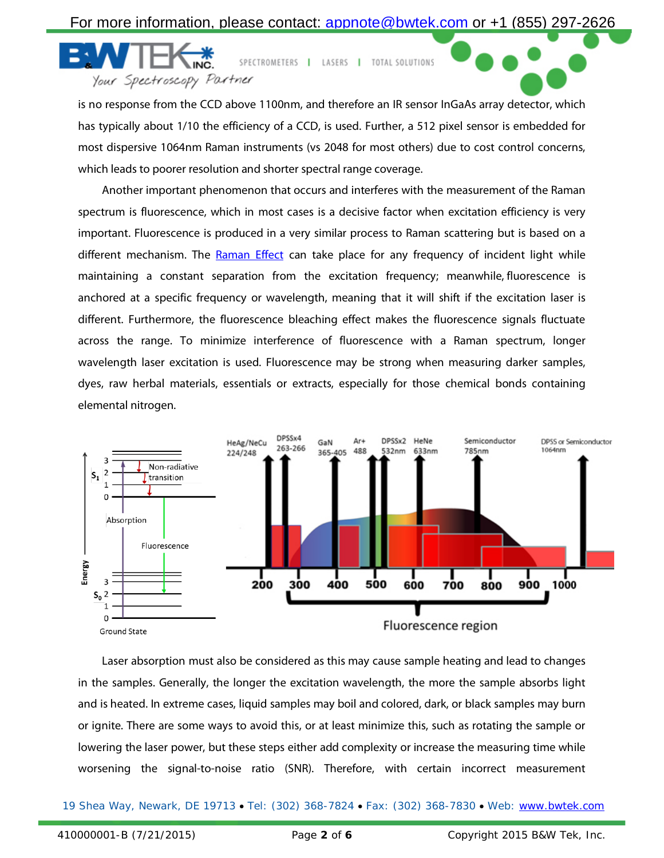For more information, please contact: [appnote@bwtek.com](mailto:appnote@bwtek.com) or +1 (855) 297-2626

SPECTROMETERS | LASERS | TOTAL SOLUTIONS Your Spectroscopy Partner

is no response from the CCD above 1100nm, and therefore an IR sensor InGaAs array detector, which has typically about 1/10 the efficiency of a CCD, is used. Further, a 512 pixel sensor is embedded for most dispersive 1064nm Raman instruments (vs 2048 for most others) due to cost control concerns, which leads to poorer resolution and shorter spectral range coverage.

Another important phenomenon that occurs and interferes with the measurement of the Raman spectrum is fluorescence, which in most cases is a decisive factor when excitation efficiency is very important. Fluorescence is produced in a very similar process to Raman scattering but is based on a different mechanism. The [Raman Effect](http://bwtek.com/raman-theory-of-raman-scattering/) can take place for any frequency of incident light while maintaining a constant separation from the excitation frequency; meanwhile, [fluorescence](http://en.wikipedia.org/wiki/Fluorescence) is anchored at a specific frequency or wavelength, meaning that it will shift if the excitation laser is different. Furthermore, the fluorescence bleaching effect makes the fluorescence signals fluctuate across the range. To minimize interference of fluorescence with a Raman spectrum, longer wavelength laser excitation is used. Fluorescence may be strong when measuring darker samples, dyes, raw herbal materials, essentials or extracts, especially for those chemical bonds containing elemental nitrogen.



Laser absorption must also be considered as this may cause sample heating and lead to changes in the samples. Generally, the longer the excitation wavelength, the more the sample absorbs light and is heated. In extreme cases, liquid samples may boil and colored, dark, or black samples may burn or ignite. There are some ways to avoid this, or at least minimize this, such as rotating the sample or lowering the laser power, but these steps either add complexity or increase the measuring time while worsening the signal-to-noise ratio (SNR). Therefore, with certain incorrect measurement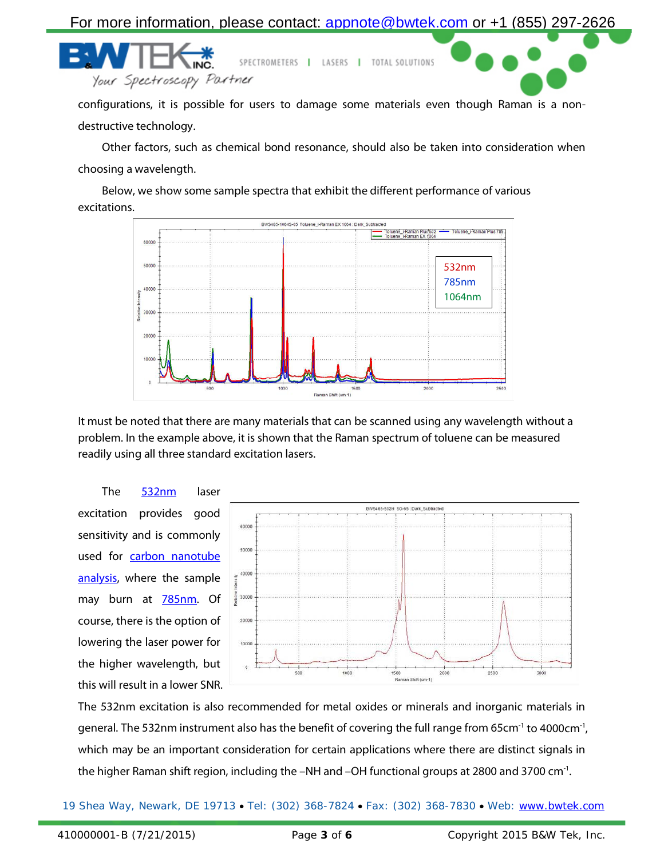For more information, please contact: [appnote@bwtek.com](mailto:appnote@bwtek.com) or +1 (855) 297-2626

Spectroscopy Partner

configurations, it is possible for users to damage some materials even though Raman is a nondestructive technology.

SPECTROMETERS | LASERS | TOTAL SOLUTIONS

Other factors, such as chemical bond resonance, should also be taken into consideration when choosing a wavelength.

Below, we show some sample spectra that exhibit the different performance of various excitations.



It must be noted that there are many materials that can be scanned using any wavelength without a problem. In the example above, it is shown that the Raman spectrum of toluene can be measured readily using all three standard excitation lasers.

The [532nm](http://bwtek.com/products/i-raman-plus/) laser excitation provides good sensitivity and is commonly used for carbon nanotube [analysis,](http://bwtek.com/applications/carbon/) where the sample may burn at **785nm**. Of course, there is the option of lowering the laser power for the higher wavelength, but this will result in a lower SNR.



The 532nm excitation is also recommended for metal oxides or minerals and inorganic materials in general. The 532nm instrument also has the benefit of covering the full range from 65cm<sup>-1</sup> to 4000cm<sup>-1</sup>, which may be an important consideration for certain applications where there are distinct signals in the higher Raman shift region, including the –NH and –OH functional groups at 2800 and 3700 cm<sup>-1</sup>.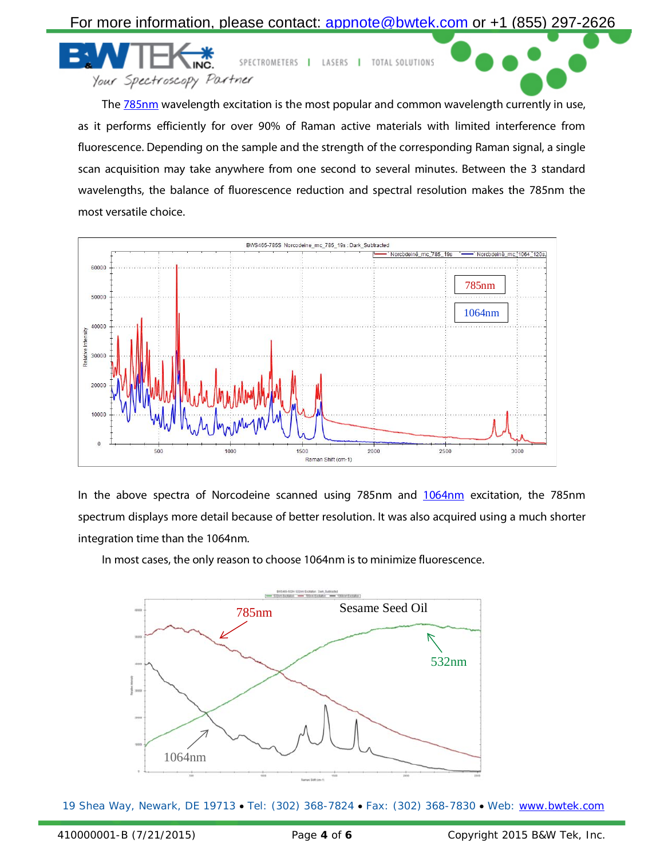

SPECTROMETERS | LASERS | TOTAL SOLUTIONS Spectroscopy Partner

The **785nm** wavelength excitation is the most popular and common wavelength currently in use, as it performs efficiently for over 90% of Raman active materials with limited interference from fluorescence. Depending on the sample and the strength of the corresponding Raman signal, a single scan acquisition may take anywhere from one second to several minutes. Between the 3 standard wavelengths, the balance of fluorescence reduction and spectral resolution makes the 785nm the most versatile choice.



In the above spectra of Norcodeine scanned using 785nm and [1064nm](http://bwtek.com/products/i-raman-ex/) excitation, the 785nm spectrum displays more detail because of better resolution. It was also acquired using a much shorter integration time than the 1064nm.

In most cases, the only reason to choose 1064nm is to minimize fluorescence.

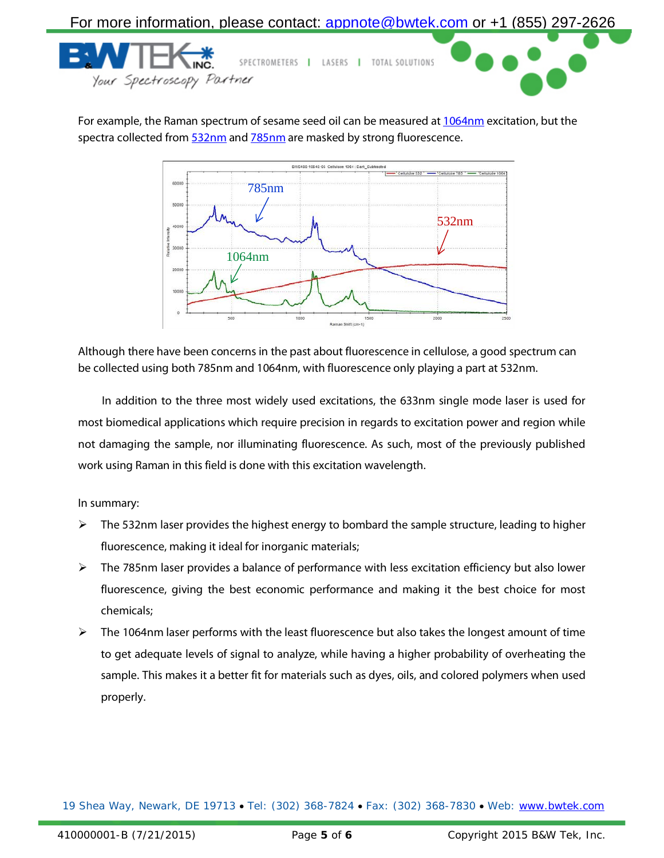

For example, the Raman spectrum of sesame seed oil can be measured at [1064nm](http://bwtek.com/products/i-raman-ex/) excitation, but the spectra collected fro[m 532nm](http://bwtek.com/products/i-raman-plus/) and [785nm](http://bwtek.com/products/i-raman-plus/) are masked by strong fluorescence.



Although there have been concerns in the past about fluorescence in cellulose, a good spectrum can be collected using both 785nm and 1064nm, with fluorescence only playing a part at 532nm.

In addition to the three most widely used excitations, the 633nm single mode laser is used for most biomedical applications which require precision in regards to excitation power and region while not damaging the sample, nor illuminating fluorescence. As such, most of the previously published work using Raman in this field is done with this excitation wavelength.

In summary:

- $\triangleright$  The 532nm laser provides the highest energy to bombard the sample structure, leading to higher fluorescence, making it ideal for inorganic materials;
- The 785nm laser provides a balance of performance with less excitation efficiency but also lower fluorescence, giving the best economic performance and making it the best choice for most chemicals;
- The 1064nm laser performs with the least fluorescence but also takes the longest amount of time to get adequate levels of signal to analyze, while having a higher probability of overheating the sample. This makes it a better fit for materials such as dyes, oils, and colored polymers when used properly.